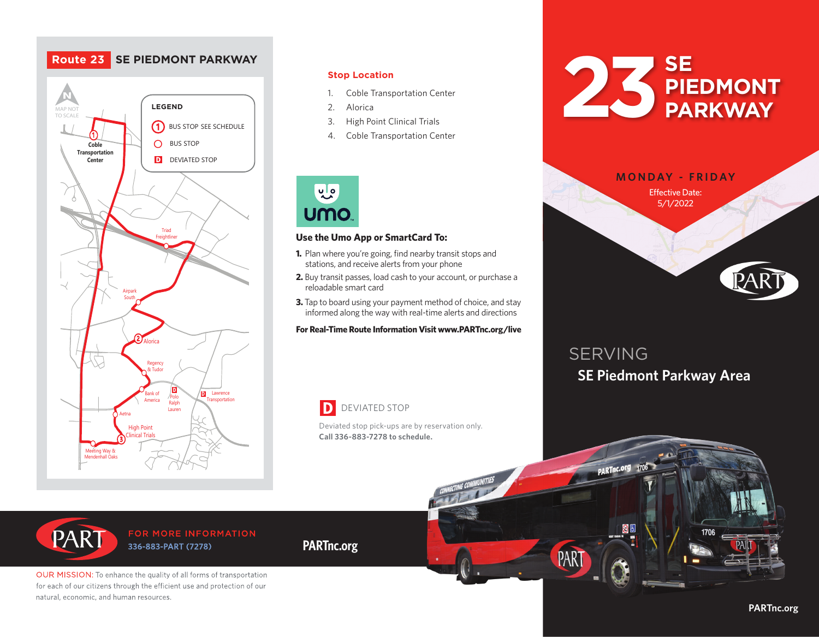## **Route 23 SE PIEDMONT PARKWAY**



## **Stop Location**

- 1. Coble Transportation Center
- 2. Alorica
- 3. High Point Clinical Trials
- 4. Coble Transportation Center



## **Use the Umo App or SmartCard To:**

- **1.** Plan where you're going, find nearby transit stops and stations, and receive alerts from your phone
- **2.** Buy transit passes, load cash to your account, or purchase a<br>
releadable cmart card reloadable smart card
- **3.** Tap to board using your payment method of choice, and stay informed along the way with real-time alerts and directions

### **For Real-Time Route Information Visit www.PARTnc.org/live**

### DEVIATED STOP D

Deviated stop pick-ups are by reservation only. **Call 336-883-7278 to schedule.**



WINSTON-SALEM

|  | <b>MONDAY - FRIDAY</b><br><b>Effective Date:</b> |      |  |
|--|--------------------------------------------------|------|--|
|  | 5/1/2022                                         | GREE |  |
|  | <b>HIGH</b><br>POINT                             |      |  |
|  |                                                  | PART |  |

# SERVING **SE Piedmont Parkway Area**

PARTnc.org 1706

PAR



## FOR MORE INFORMATION 336-883-PART (7278)

OUR MISSION: To enhance the quality of all forms of transportation for each of our citizens through the efficient use and protection of our natural, economic, and human resources.

## **PARTnc.org**

**PARTnc.org**